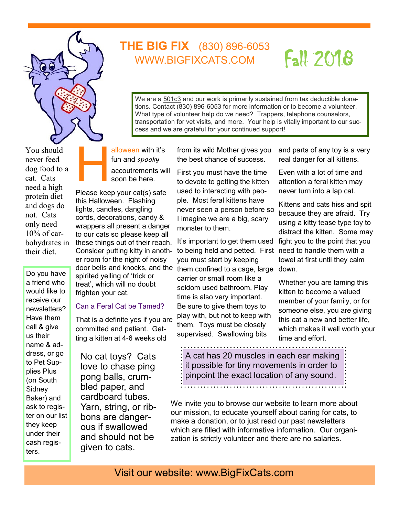

You should never feed dog food to a cat. Cats need a high protein diet and dogs do not. Cats only need 10% of carbohydrates in their diet.

Do you have a friend who would like to receive our newsletters? Have them call & give us their name & address, or go to Pet Supplies Plus (on South **Sidney** Baker) and ask to register on our list they keep under their cash registers.

alloween with it's fun and *spooky*  accoutrements will

H soon be here. Please keep your cat(s) safe this Halloween. Flashing lights, candles, dangling cords, decorations, candy & wrappers all present a danger to our cats so please keep all these things out of their reach. Consider putting kitty in another room for the night of noisy door bells and knocks, and the spirited yelling of 'trick or

treat', which will no doubt frighten your cat.

## Can a Feral Cat be Tamed?

That is a definite yes if you are committed and patient. Getting a kitten at 4-6 weeks old

No cat toys? Cats love to chase ping pong balls, crumbled paper, and cardboard tubes. Yarn, string, or ribbons are dangerous if swallowed and should not be given to cats.

from its wild Mother gives you the best chance of success.

cess and we are grateful for your continued support!

**THE BIG FIX** (830) 896-6053 WWW.BIGFIXCATS.COM

> We are a 501c3 and our work is primarily sustained from tax deductible donations. Contact (830) 896-6053 for more information or to become a volunteer. What type of volunteer help do we need? Trappers, telephone counselors, transportation for vet visits, and more. Your help is vitally important to our suc-

> > First you must have the time to devote to getting the kitten used to interacting with people. Most feral kittens have never seen a person before so I imagine we are a big, scary monster to them.

It's important to get them used to being held and petted. First need to handle them with a you must start by keeping them confined to a cage, large down. carrier or small room like a seldom used bathroom. Play time is also very important. Be sure to give them toys to play with, but not to keep with them. Toys must be closely supervised. Swallowing bits

and parts of any toy is a very real danger for all kittens.

Fall 2018

Even with a lot of time and attention a feral kitten may never turn into a lap cat.

Kittens and cats hiss and spit because they are afraid. Try using a kitty tease type toy to distract the kitten. Some may fight you to the point that you towel at first until they calm

Whether you are taming this kitten to become a valued member of your family, or for someone else, you are giving this cat a new and better life, which makes it well worth your time and effort.

A cat has 20 muscles in each ear making it possible for tiny movements in order to pinpoint the exact location of any sound.

We invite you to browse our website to learn more about our mission, to educate yourself about caring for cats, to make a donation, or to just read our past newsletters which are filled with informative information. Our organization is strictly volunteer and there are no salaries.

Visit our website: www.BigFixCats.com